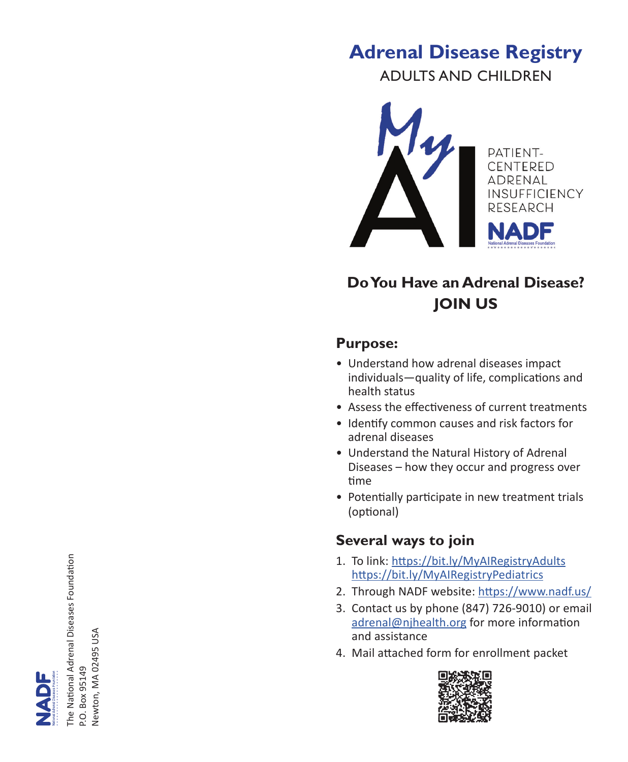# **Adrenal Disease Registry**

ADULTS AND CHILDREN



## **Do You Have an Adrenal Disease? JOIN US**

#### **Purpose:**

- Understand how adrenal diseases impact individuals—quality of life, complications and health status
- Assess the effectiveness of current treatments
- Identify common causes and risk factors for adrenal diseases
- Understand the Natural History of Adrenal Diseases – how they occur and progress over time
- Potentially participate in new treatment trials (optional)

## **Several ways to join**

- 1. To link: https://bit.ly/MyAIRegistryAdults https://bit.ly/MyAIRegistryPediatrics
- 2. Through NADF website: https://www.nadf.us/
- 3. Contact us by phone (847) 726-9010) or email adrenal@njhealth.org for more information and assistance
- 4. Mail attached form for enrollment packet



he National Adrenal Diseases Foundation The National Adrenal Diseases Foundation Newton, MA 02495 USA Newton, MA 02495 USABox 95149 P.O. Box 95149 ò.